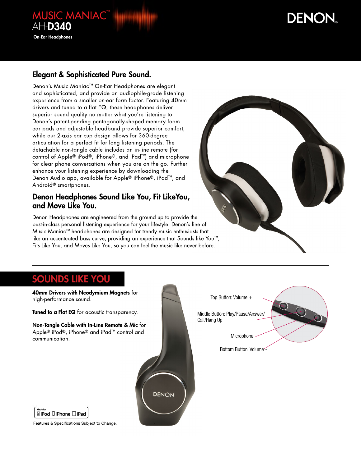# **DENON**

### Elegant & Sophisticated Pure Sound.

**MUSIC MANIAC™** 

AH-D340

On-Ear Headphones

Denon's Music Maniac™ On-Ear Headphones are elegant and sophisticated, and provide an audiophile-grade listening experience from a smaller on-ear form factor. Featuring 40mm drivers and tuned to a flat EQ, these headphones deliver superior sound quality no matter what you're listening to. Denon's patent-pending pentagonally-shaped memory foam ear pads and adjustable headband provide superior comfort, while our 2-axis ear cup design allows for 360-degree articulation for a perfect fit for long listening periods. The detachable non-tangle cable includes an in-line remote (for control of Apple® iPod®, iPhone®, and iPad™) and microphone for clear phone conversations when you are on the go. Further enhance your listening experience by downloading the Denon Audio app, available for Apple® iPhone®, iPad™, and Android® smartphones.

#### Denon Headphones Sound Like You, Fit LikeYou, and Move Like You.

Denon Headphones are engineered from the ground up to provide the best-in-class personal listening experience for your lifestyle. Denon's line of Music Maniac™ headphones are designed for trendy music enthusiasts that like an accentuated bass curve, providing an experience that Sounds like You™, Fits Like You, and Moves Like You, so you can feel the music like never before.

## Sounds like you

40mm Drivers with Neodymium Magnets for Top Button: Volume + high-performance sound. Tuned to a Flat EQ for acoustic transparency. Middle Button: Play/Pause/Answer/ Call/Hang Up Non-Tangle Cable with In-Line Remote & Mic for Apple® iPod®, iPhone® and iPad™ control and Microphonecommunication. Bottom Button: Volume - **DENON** Made for **SiPod DiPhone DiPad** 

Features & Specifications Subject to Change.